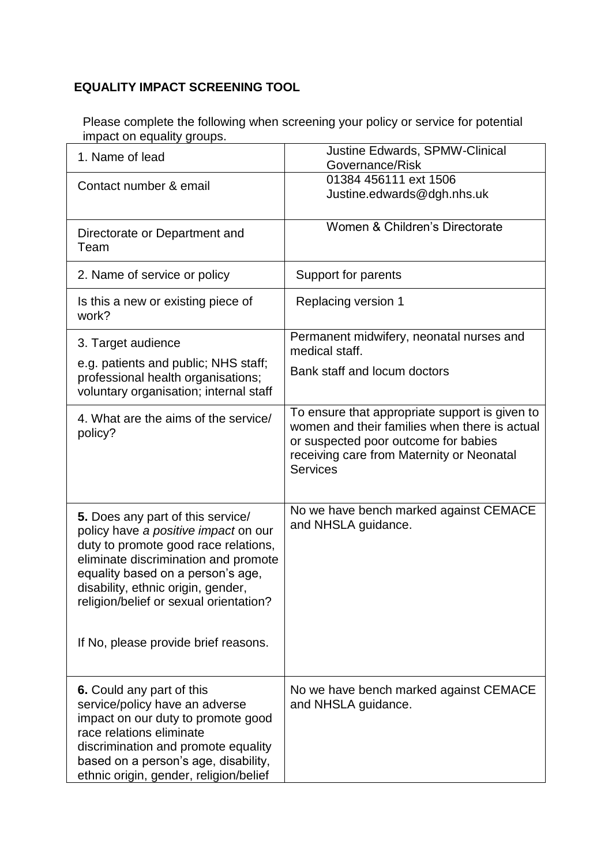## **EQUALITY IMPACT SCREENING TOOL**

Please complete the following when screening your policy or service for potential impact on equality groups.

| 1. Name of lead                                                                                                                                                                                                                                                                                                        | <b>Justine Edwards, SPMW-Clinical</b><br>Governance/Risk                                                                                                                                                |
|------------------------------------------------------------------------------------------------------------------------------------------------------------------------------------------------------------------------------------------------------------------------------------------------------------------------|---------------------------------------------------------------------------------------------------------------------------------------------------------------------------------------------------------|
| Contact number & email                                                                                                                                                                                                                                                                                                 | 01384 456111 ext 1506<br>Justine.edwards@dgh.nhs.uk                                                                                                                                                     |
| Directorate or Department and<br>Team                                                                                                                                                                                                                                                                                  | Women & Children's Directorate                                                                                                                                                                          |
| 2. Name of service or policy                                                                                                                                                                                                                                                                                           | Support for parents                                                                                                                                                                                     |
| Is this a new or existing piece of<br>work?                                                                                                                                                                                                                                                                            | Replacing version 1                                                                                                                                                                                     |
| 3. Target audience<br>e.g. patients and public; NHS staff;<br>professional health organisations;<br>voluntary organisation; internal staff                                                                                                                                                                             | Permanent midwifery, neonatal nurses and<br>medical staff.<br>Bank staff and locum doctors                                                                                                              |
| 4. What are the aims of the service/<br>policy?                                                                                                                                                                                                                                                                        | To ensure that appropriate support is given to<br>women and their families when there is actual<br>or suspected poor outcome for babies<br>receiving care from Maternity or Neonatal<br><b>Services</b> |
| 5. Does any part of this service/<br>policy have a positive impact on our<br>duty to promote good race relations,<br>eliminate discrimination and promote<br>equality based on a person's age,<br>disability, ethnic origin, gender,<br>religion/belief or sexual orientation?<br>If No, please provide brief reasons. | No we have bench marked against CEMACE<br>and NHSLA guidance.                                                                                                                                           |
| 6. Could any part of this<br>service/policy have an adverse<br>impact on our duty to promote good<br>race relations eliminate<br>discrimination and promote equality<br>based on a person's age, disability,<br>ethnic origin, gender, religion/belief                                                                 | No we have bench marked against CEMACE<br>and NHSLA guidance.                                                                                                                                           |